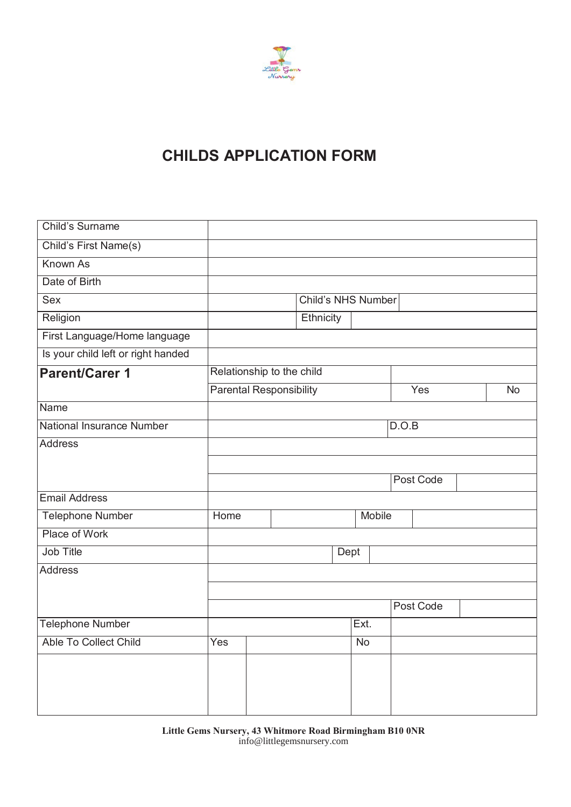

# **CHILDS APPLICATION FORM**

| Child's Surname                    |      |                                |                           |           |        |           |           |
|------------------------------------|------|--------------------------------|---------------------------|-----------|--------|-----------|-----------|
| Child's First Name(s)              |      |                                |                           |           |        |           |           |
| Known As                           |      |                                |                           |           |        |           |           |
| Date of Birth                      |      |                                |                           |           |        |           |           |
| <b>Sex</b>                         |      |                                | <b>Child's NHS Number</b> |           |        |           |           |
| Religion                           |      |                                | Ethnicity                 |           |        |           |           |
| First Language/Home language       |      |                                |                           |           |        |           |           |
| Is your child left or right handed |      |                                |                           |           |        |           |           |
| <b>Parent/Carer 1</b>              |      | Relationship to the child      |                           |           |        |           |           |
|                                    |      | <b>Parental Responsibility</b> |                           |           |        | Yes       | <b>No</b> |
| <b>Name</b>                        |      |                                |                           |           |        |           |           |
| <b>National Insurance Number</b>   |      |                                |                           |           |        | D.O.B     |           |
| <b>Address</b>                     |      |                                |                           |           |        |           |           |
|                                    |      |                                |                           |           |        |           |           |
|                                    |      |                                |                           |           |        | Post Code |           |
| <b>Email Address</b>               |      |                                |                           |           |        |           |           |
| <b>Telephone Number</b>            | Home |                                |                           |           | Mobile |           |           |
| Place of Work                      |      |                                |                           |           |        |           |           |
| Job Title                          |      |                                |                           | Dept      |        |           |           |
| <b>Address</b>                     |      |                                |                           |           |        |           |           |
|                                    |      |                                |                           |           |        |           |           |
|                                    |      |                                |                           |           |        | Post Code |           |
| <b>Telephone Number</b>            |      |                                |                           | Ext.      |        |           |           |
| Able To Collect Child              | Yes  |                                |                           | <b>No</b> |        |           |           |
|                                    |      |                                |                           |           |        |           |           |
|                                    |      |                                |                           |           |        |           |           |
|                                    |      |                                |                           |           |        |           |           |
|                                    |      |                                |                           |           |        |           |           |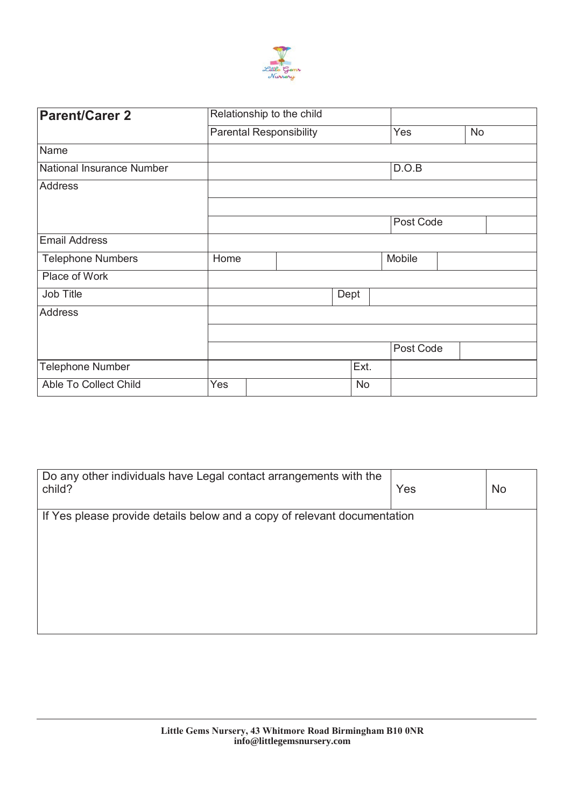

| <b>Parent/Carer 2</b>     | Relationship to the child |  |                                |      |           |           |           |  |
|---------------------------|---------------------------|--|--------------------------------|------|-----------|-----------|-----------|--|
|                           |                           |  | <b>Parental Responsibility</b> |      |           | Yes       | <b>No</b> |  |
| Name                      |                           |  |                                |      |           |           |           |  |
| National Insurance Number |                           |  |                                |      |           | D.O.B     |           |  |
| <b>Address</b>            |                           |  |                                |      |           |           |           |  |
|                           |                           |  |                                |      |           |           |           |  |
|                           |                           |  |                                |      |           | Post Code |           |  |
| <b>Email Address</b>      |                           |  |                                |      |           |           |           |  |
| <b>Telephone Numbers</b>  | Home                      |  |                                |      |           | Mobile    |           |  |
| Place of Work             |                           |  |                                |      |           |           |           |  |
| Job Title                 |                           |  |                                | Dept |           |           |           |  |
| <b>Address</b>            |                           |  |                                |      |           |           |           |  |
|                           |                           |  |                                |      |           |           |           |  |
|                           |                           |  |                                |      |           | Post Code |           |  |
| <b>Telephone Number</b>   |                           |  |                                |      | Ext.      |           |           |  |
| Able To Collect Child     | Yes                       |  |                                |      | <b>No</b> |           |           |  |

| Do any other individuals have Legal contact arrangements with the<br>child? | Yes | <b>No</b> |
|-----------------------------------------------------------------------------|-----|-----------|
| If Yes please provide details below and a copy of relevant documentation    |     |           |
|                                                                             |     |           |
|                                                                             |     |           |
|                                                                             |     |           |
|                                                                             |     |           |
|                                                                             |     |           |
|                                                                             |     |           |
|                                                                             |     |           |
|                                                                             |     |           |
|                                                                             |     |           |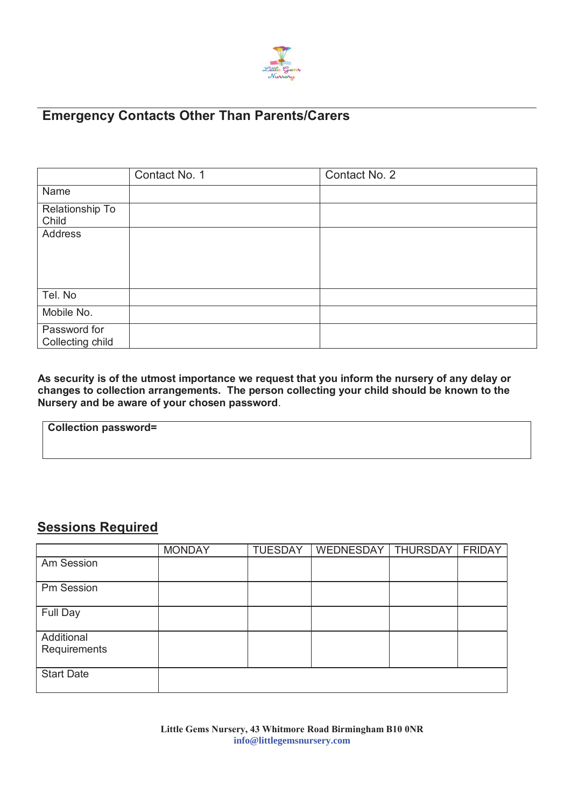

# **Emergency Contacts Other Than Parents/Carers**

|                                  | Contact No. 1 | Contact No. 2 |
|----------------------------------|---------------|---------------|
| Name                             |               |               |
| Relationship To<br>Child         |               |               |
| Address                          |               |               |
| Tel. No                          |               |               |
| Mobile No.                       |               |               |
| Password for<br>Collecting child |               |               |

**As security is of the utmost importance we request that you inform the nursery of any delay or changes to collection arrangements. The person collecting your child should be known to the Nursery and be aware of your chosen password**.

# **Collection password=**

### **Sessions Required**

|                            | <b>MONDAY</b> | <b>TUESDAY</b> | WEDNESDAY | THURSDAY | <b>FRIDAY</b> |
|----------------------------|---------------|----------------|-----------|----------|---------------|
| Am Session                 |               |                |           |          |               |
| Pm Session                 |               |                |           |          |               |
| Full Day                   |               |                |           |          |               |
| Additional<br>Requirements |               |                |           |          |               |
| <b>Start Date</b>          |               |                |           |          |               |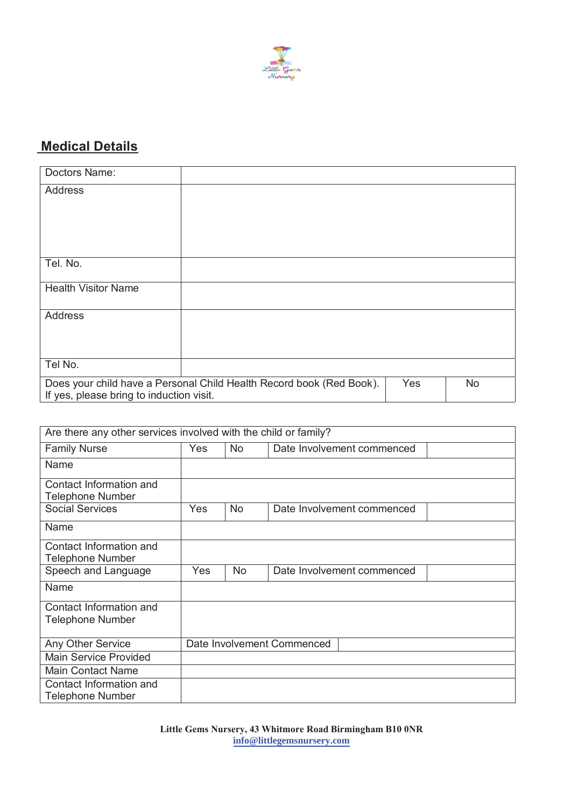

# **Medical Details**

| Doctors Name:                                                                            |  |  |  |  |  |
|------------------------------------------------------------------------------------------|--|--|--|--|--|
| Address                                                                                  |  |  |  |  |  |
|                                                                                          |  |  |  |  |  |
|                                                                                          |  |  |  |  |  |
|                                                                                          |  |  |  |  |  |
|                                                                                          |  |  |  |  |  |
| Tel. No.                                                                                 |  |  |  |  |  |
| <b>Health Visitor Name</b>                                                               |  |  |  |  |  |
|                                                                                          |  |  |  |  |  |
| Address                                                                                  |  |  |  |  |  |
|                                                                                          |  |  |  |  |  |
|                                                                                          |  |  |  |  |  |
|                                                                                          |  |  |  |  |  |
| Tel No.                                                                                  |  |  |  |  |  |
| Does your child have a Personal Child Health Record book (Red Book).<br>Yes<br><b>No</b> |  |  |  |  |  |
| If yes, please bring to induction visit.                                                 |  |  |  |  |  |

| Are there any other services involved with the child or family? |     |           |                            |  |  |
|-----------------------------------------------------------------|-----|-----------|----------------------------|--|--|
| <b>Family Nurse</b>                                             | Yes | <b>No</b> | Date Involvement commenced |  |  |
| Name                                                            |     |           |                            |  |  |
| Contact Information and<br><b>Telephone Number</b>              |     |           |                            |  |  |
| <b>Social Services</b>                                          | Yes | <b>No</b> | Date Involvement commenced |  |  |
| Name                                                            |     |           |                            |  |  |
| Contact Information and<br><b>Telephone Number</b>              |     |           |                            |  |  |
| Speech and Language                                             | Yes | <b>No</b> | Date Involvement commenced |  |  |
| Name                                                            |     |           |                            |  |  |
| Contact Information and<br><b>Telephone Number</b>              |     |           |                            |  |  |
| Any Other Service                                               |     |           | Date Involvement Commenced |  |  |
| <b>Main Service Provided</b>                                    |     |           |                            |  |  |
| <b>Main Contact Name</b>                                        |     |           |                            |  |  |
| Contact Information and<br><b>Telephone Number</b>              |     |           |                            |  |  |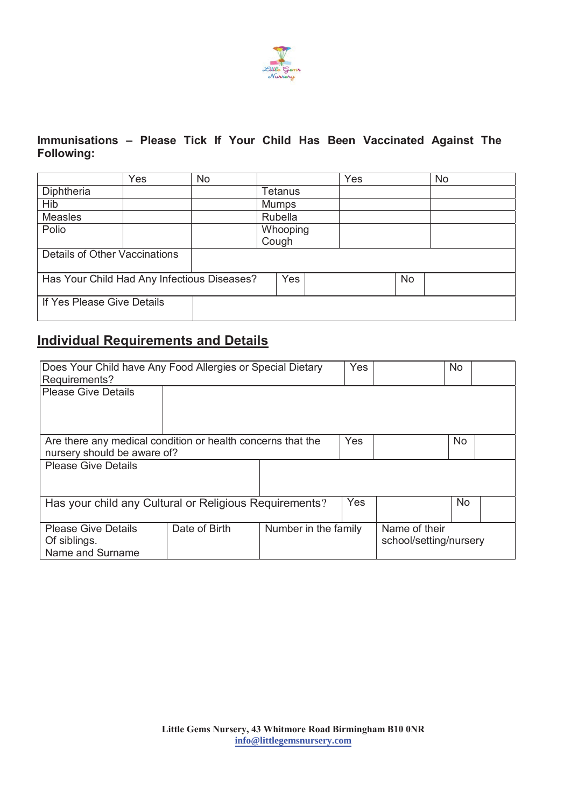

#### **Immunisations – Please Tick If Your Child Has Been Vaccinated Against The Following:**

|                                             | Yes | <b>No</b> |              | Yes |           | <b>No</b> |
|---------------------------------------------|-----|-----------|--------------|-----|-----------|-----------|
| Diphtheria                                  |     |           | Tetanus      |     |           |           |
| Hib                                         |     |           | <b>Mumps</b> |     |           |           |
| <b>Measles</b>                              |     |           | Rubella      |     |           |           |
| Polio                                       |     |           | Whooping     |     |           |           |
|                                             |     |           | Cough        |     |           |           |
| Details of Other Vaccinations               |     |           |              |     |           |           |
|                                             |     |           |              |     |           |           |
| Has Your Child Had Any Infectious Diseases? |     |           | Yes          |     | <b>No</b> |           |
|                                             |     |           |              |     |           |           |
| If Yes Please Give Details                  |     |           |              |     |           |           |
|                                             |     |           |              |     |           |           |

## **Individual Requirements and Details**

| Does Your Child have Any Food Allergies or Special Dietary                                 |               | Yes                  |           | <b>No</b>                               |  |  |
|--------------------------------------------------------------------------------------------|---------------|----------------------|-----------|-----------------------------------------|--|--|
| Requirements?                                                                              |               |                      |           |                                         |  |  |
| <b>Please Give Details</b>                                                                 |               |                      |           |                                         |  |  |
|                                                                                            |               |                      |           |                                         |  |  |
| Are there any medical condition or health concerns that the<br>nursery should be aware of? | Yes           |                      | <b>No</b> |                                         |  |  |
| <b>Please Give Details</b>                                                                 |               |                      |           |                                         |  |  |
| Has your child any Cultural or Religious Requirements?                                     |               | <b>Yes</b>           |           | <b>No</b>                               |  |  |
| <b>Please Give Details</b><br>Of siblings.<br>Name and Surname                             | Date of Birth | Number in the family |           | Name of their<br>school/setting/nursery |  |  |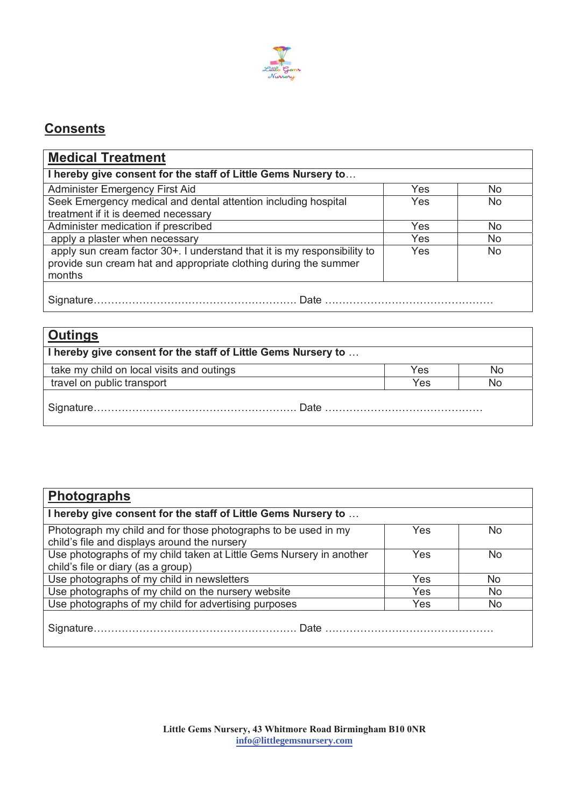

# **Consents**

| <b>Medical Treatment</b>                                                   |     |                |
|----------------------------------------------------------------------------|-----|----------------|
| I hereby give consent for the staff of Little Gems Nursery to              |     |                |
| <b>Administer Emergency First Aid</b>                                      | Yes | No.            |
| Seek Emergency medical and dental attention including hospital             | Yes | N <sub>o</sub> |
| treatment if it is deemed necessary                                        |     |                |
| Administer medication if prescribed                                        | Yes | N <sub>0</sub> |
| apply a plaster when necessary                                             | Yes | No.            |
| apply sun cream factor 30+. I understand that it is my responsibility to   | Yes | No             |
| provide sun cream hat and appropriate clothing during the summer<br>months |     |                |
|                                                                            |     |                |

| <u>  Outings</u>                                              |     |    |  |  |  |
|---------------------------------------------------------------|-----|----|--|--|--|
| I hereby give consent for the staff of Little Gems Nursery to |     |    |  |  |  |
| take my child on local visits and outings                     | Yes | No |  |  |  |
| travel on public transport                                    | Yes | No |  |  |  |
|                                                               |     |    |  |  |  |

| <b>Photographs</b>                                                                                             |     |                |
|----------------------------------------------------------------------------------------------------------------|-----|----------------|
| I hereby give consent for the staff of Little Gems Nursery to                                                  |     |                |
| Photograph my child and for those photographs to be used in my<br>child's file and displays around the nursery | Yes | <b>No</b>      |
| Use photographs of my child taken at Little Gems Nursery in another<br>child's file or diary (as a group)      | Yes | <b>No</b>      |
| Use photographs of my child in newsletters                                                                     | Yes | No             |
| Use photographs of my child on the nursery website                                                             | Yes | N <sub>0</sub> |
| Use photographs of my child for advertising purposes                                                           | Yes | No             |
|                                                                                                                |     |                |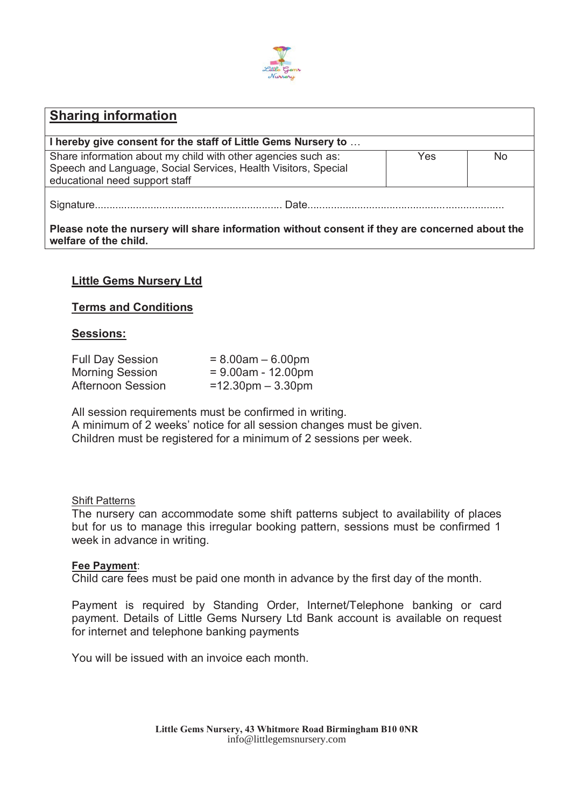

# **Sharing information I hereby give consent for the staff of Little Gems Nursery to** … Share information about my child with other agencies such as: Speech and Language, Social Services, Health Visitors, Special educational need support staff Yes No Signature................................................................ Date...................................................................

**Please note the nursery will share information without consent if they are concerned about the welfare of the child.** 

#### **Little Gems Nursery Ltd**

#### **Terms and Conditions**

#### **Sessions:**

| <b>Full Day Session</b>  | $= 8.00$ am $- 6.00$ pm             |
|--------------------------|-------------------------------------|
| <b>Morning Session</b>   | $= 9.00$ am - 12.00pm               |
| <b>Afternoon Session</b> | $=12.30 \text{pm} - 3.30 \text{pm}$ |

All session requirements must be confirmed in writing. A minimum of 2 weeks' notice for all session changes must be given. Children must be registered for a minimum of 2 sessions per week.

#### Shift Patterns

The nursery can accommodate some shift patterns subject to availability of places but for us to manage this irregular booking pattern, sessions must be confirmed 1 week in advance in writing.

#### **Fee Payment**:

Child care fees must be paid one month in advance by the first day of the month.

Payment is required by Standing Order, Internet/Telephone banking or card payment. Details of Little Gems Nursery Ltd Bank account is available on request for internet and telephone banking payments

You will be issued with an invoice each month.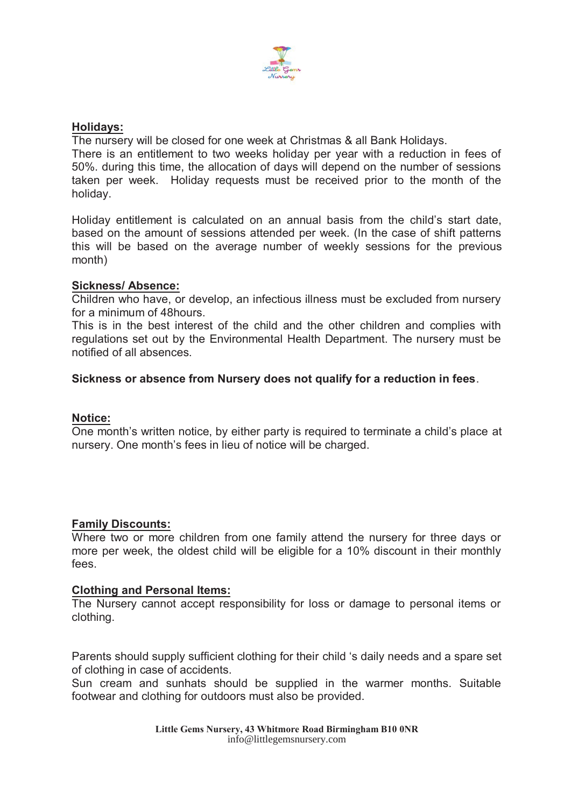

#### **Holidays:**

The nursery will be closed for one week at Christmas & all Bank Holidays.

There is an entitlement to two weeks holiday per year with a reduction in fees of 50%. during this time, the allocation of days will depend on the number of sessions taken per week. Holiday requests must be received prior to the month of the holiday.

Holiday entitlement is calculated on an annual basis from the child's start date, based on the amount of sessions attended per week. (In the case of shift patterns this will be based on the average number of weekly sessions for the previous month)

#### **Sickness/ Absence:**

Children who have, or develop, an infectious illness must be excluded from nursery for a minimum of 48hours.

This is in the best interest of the child and the other children and complies with regulations set out by the Environmental Health Department. The nursery must be notified of all absences.

#### **Sickness or absence from Nursery does not qualify for a reduction in fees**.

#### **Notice:**

One month's written notice, by either party is required to terminate a child's place at nursery. One month's fees in lieu of notice will be charged.

#### **Family Discounts:**

Where two or more children from one family attend the nursery for three days or more per week, the oldest child will be eligible for a 10% discount in their monthly fees.

#### **Clothing and Personal Items:**

The Nursery cannot accept responsibility for loss or damage to personal items or clothing.

Parents should supply sufficient clothing for their child 's daily needs and a spare set of clothing in case of accidents.

Sun cream and sunhats should be supplied in the warmer months. Suitable footwear and clothing for outdoors must also be provided.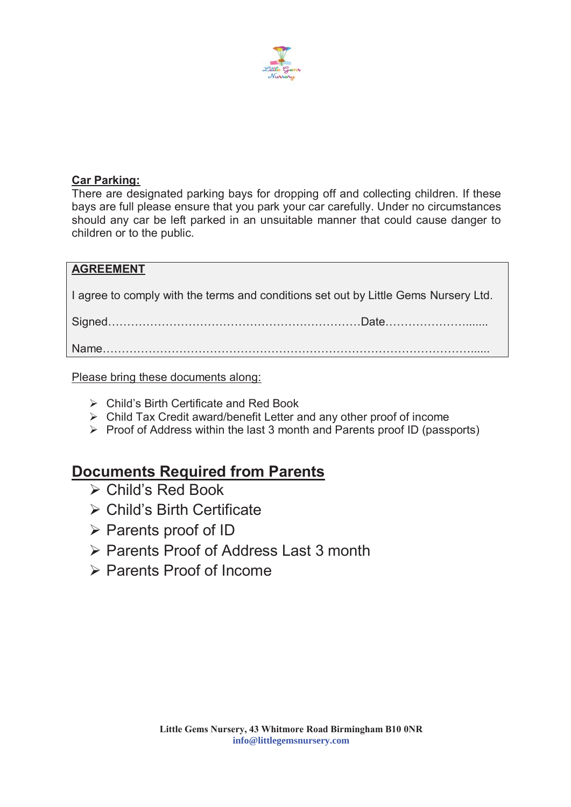

#### **Car Parking:**

There are designated parking bays for dropping off and collecting children. If these bays are full please ensure that you park your car carefully. Under no circumstances should any car be left parked in an unsuitable manner that could cause danger to children or to the public.

#### **AGREEMENT**

I agree to comply with the terms and conditions set out by Little Gems Nursery Ltd.

Signed…………………………………………………………Date………………….......

Name……………………………………………………………………………………......

Please bring these documents along:

- $\triangleright$  Child's Birth Certificate and Red Book
- $\triangleright$  Child Tax Credit award/benefit Letter and any other proof of income
- $\triangleright$  Proof of Address within the last 3 month and Parents proof ID (passports)

## **Documents Required from Parents**

- $\triangleright$  Child's Red Book
- $\triangleright$  Child's Birth Certificate
- ¾ Parents proof of ID
- ¾ Parents Proof of Address Last 3 month
- $\triangleright$  Parents Proof of Income